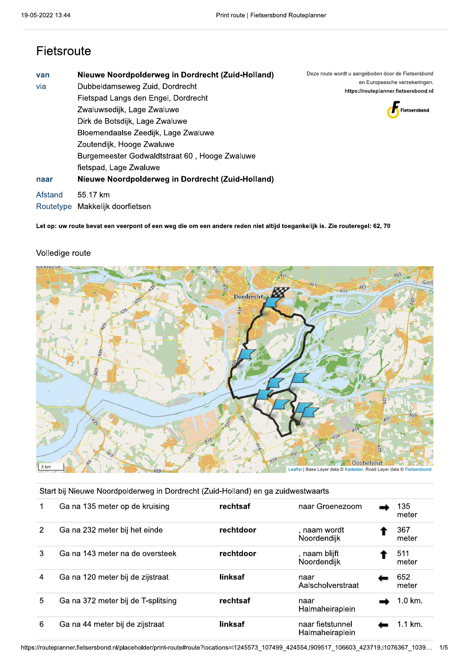### Fietsroute

| van<br>via<br>naar   | Nieuwe Noordpolderweg in Dordrecht (Zuid-Holland)<br>Dubbeldamseweg Zuid, Dordrecht<br>Fietspad Langs den Engel, Dordrecht<br>Zwaluwsedijk, Lage Zwaluwe<br>Dirk de Botsdijk, Lage Zwaluwe<br>Bloemendaalse Zeedijk, Lage Zwaluwe<br>Zoutendijk, Hooge Zwaluwe<br>Burgemeester Godwaldtstraat 60, Hooge Zwaluwe<br>fietspad, Lage Zwaluwe<br>Nieuwe Noordpolderweg in Dordrecht (Zuid-Holland) | Deze route wordt u aangeboden door de Fietsersbond<br>en Europeesche verzekeringen.<br>https://routeplanner.fietsersbond.nl<br>Fietsersbond |
|----------------------|------------------------------------------------------------------------------------------------------------------------------------------------------------------------------------------------------------------------------------------------------------------------------------------------------------------------------------------------------------------------------------------------|---------------------------------------------------------------------------------------------------------------------------------------------|
| Afstand<br>Routetype | 55.17 km<br>Makkelijk doorfietsen                                                                                                                                                                                                                                                                                                                                                              |                                                                                                                                             |

Let op: uw route bevat een veerpont of een weg die om een andere reden niet altijd toegankelijk is. Zie routeregel: 62, 70

#### Volledige route



#### Start bij Nieuwe Noordpolderweg in Dordrecht (Zuid-Holland) en ga zuidwestwaarts

|   | Ga na 135 meter op de kruising     | rechtsaf  | naar Groenezoom                     | 135<br>meter |
|---|------------------------------------|-----------|-------------------------------------|--------------|
| 2 | Ga na 232 meter bij het einde      | rechtdoor | , naam wordt<br>Noordendijk         | 367<br>meter |
| 3 | Ga na 143 meter na de oversteek    | rechtdoor | , naam blijft<br>Noordendijk        | 511<br>meter |
| 4 | Ga na 120 meter bij de zijstraat   | linksaf   | naar<br>Aalscholverstraat           | 652<br>meter |
| 5 | Ga na 372 meter bij de T-splitsing | rechtsaf  | naar<br>Halmaheiraplein             | 1.0 km.      |
| 6 | Ga na 44 meter bij de zijstraat    | linksaf   | naar fietstunnel<br>Halmaheiraplein | 1.1 km.      |

https://routeplanner.fietsersbond.nl/placeholder/print-route#route?locations=l1245573\_107499\_424554,l909517\_106603\_423719,l1076367\_1039... 1/5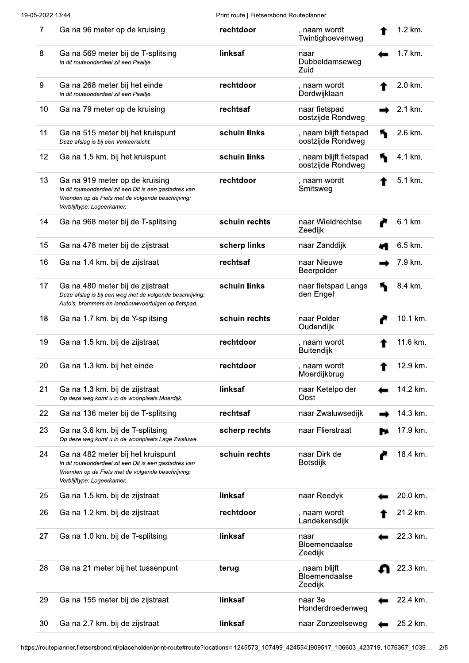Print route | Fietsersbond Routeplanner

| $\overline{7}$ | Ga na 96 meter op de kruising                                                                                                                                                   | rechtdoor     | , naam wordt<br>Twintighoevenweg            | 1.2 km.  |
|----------------|---------------------------------------------------------------------------------------------------------------------------------------------------------------------------------|---------------|---------------------------------------------|----------|
| 8              | Ga na 569 meter bij de T-splitsing<br>In dit routeonderdeel zit een Paaltie.                                                                                                    | linksaf       | naar<br>Dubbeldamseweg<br>Zuid              | 1.7 km.  |
| 9              | Ga na 268 meter bij het einde<br>In dit routeonderdeel zit een Paaltje.                                                                                                         | rechtdoor     | , naam wordt<br>Dordwijklaan                | 2.0 km.  |
| 10             | Ga na 79 meter op de kruising                                                                                                                                                   | rechtsaf      | naar fietspad<br>oostzijde Rondweg          | 2.1 km.  |
| 11             | Ga na 515 meter bij het kruispunt<br>Deze afslag is bij een Verkeerslicht.                                                                                                      | schuin links  | , naam blijft fietspad<br>oostzijde Rondweg | 2.6 km.  |
| 12             | Ga na 1.5 km. bij het kruispunt                                                                                                                                                 | schuin links  | , naam blijft fietspad<br>oostzijde Rondweg | 4.1 km.  |
| 13             | Ga na 919 meter op de kruising<br>In dit routeonderdeel zit een Dit is een gastadres van<br>Vrienden op de Fiets met de volgende beschrijving:<br>Verblijftype: Logeerkamer.    | rechtdoor     | , naam wordt<br>Smitsweg                    | 5.1 km.  |
| 14             | Ga na 968 meter bij de T-splitsing                                                                                                                                              | schuin rechts | naar Wieldrechtse<br>Zeedijk                | 6.1 km.  |
| 15             | Ga na 478 meter bij de zijstraat                                                                                                                                                | scherp links  | naar Zanddijk                               | 6.5 km.  |
| 16             | Ga na 1.4 km. bij de zijstraat                                                                                                                                                  | rechtsaf      | naar Nieuwe<br>Beerpolder                   | 7.9 km.  |
| 17             | Ga na 480 meter bij de zijstraat<br>Deze afslag is bij een weg met de volgende beschrijving:<br>Auto's, brommers en landbouwvoertuigen op fietspad.                             | schuin links  | naar fietspad Langs<br>den Engel            | 8.4 km.  |
| 18             | Ga na 1.7 km. bij de Y-splitsing                                                                                                                                                | schuin rechts | naar Polder<br>Oudendijk                    | 10.1 km. |
| 19             | Ga na 1.5 km. bij de zijstraat                                                                                                                                                  | rechtdoor     | , naam wordt<br><b>Buitendijk</b>           | 11.6 km. |
| 20             | Ga na 1.3 km. bij het einde                                                                                                                                                     | rechtdoor     | , naam wordt<br>Moerdijkbrug                | 12.9 km. |
| 21             | Ga na 1.3 km. bij de zijstraat<br>Op deze weg komt u in de woonplaats Moerdijk.                                                                                                 | linksaf       | naar Ketelpolder<br>Oost                    | 14.2 km. |
| 22             | Ga na 136 meter bij de T-splitsing                                                                                                                                              | rechtsaf      | naar Zwaluwsedijk                           | 14.3 km. |
| 23             | Ga na 3.6 km. bij de T-splitsing<br>Op deze weg komt u in de woonplaats Lage Zwaluwe.                                                                                           | scherp rechts | naar Flierstraat                            | 17.9 km. |
| 24             | Ga na 482 meter bij het kruispunt<br>In dit routeonderdeel zit een Dit is een gastadres van<br>Vrienden op de Fiets met de volgende beschrijving:<br>Verblijftype: Logeerkamer. | schuin rechts | naar Dirk de<br><b>Botsdijk</b>             | 18.4 km. |
| 25             | Ga na 1.5 km. bij de zijstraat                                                                                                                                                  | linksaf       | naar Reedyk                                 | 20.0 km. |
| 26             | Ga na 1.2 km. bij de zijstraat                                                                                                                                                  | rechtdoor     | , naam wordt<br>Landekensdijk               | 21.2 km. |
| 27             | Ga na 1.0 km. bij de T-splitsing                                                                                                                                                | linksaf       | naar<br>Bloemendaalse<br>Zeedijk            | 22.3 km. |
| 28             | Ga na 21 meter bij het tussenpunt                                                                                                                                               | terug         | , naam blijft<br>Bloemendaalse<br>Zeedijk   | 22.3 km. |
| 29             | Ga na 155 meter bij de zijstraat                                                                                                                                                | linksaf       | naar 3e<br>Honderdroedenweg                 | 22.4 km. |
| 30             | Ga na 2.7 km. bij de zijstraat                                                                                                                                                  | linksaf       | naar Zonzeelseweg                           | 25.2 km. |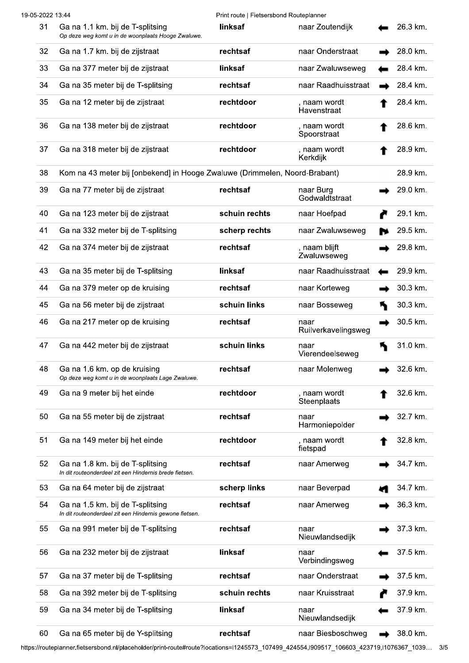|    | 19-05-2022 13:44                                                                            | Print route   Fietsersbond Routeplanner |                              |          |
|----|---------------------------------------------------------------------------------------------|-----------------------------------------|------------------------------|----------|
| 31 | Ga na 1.1 km. bij de T-splitsing<br>Op deze weg komt u in de woonplaats Hooge Zwaluwe.      | linksaf                                 | naar Zoutendijk              | 26.3 km. |
| 32 | Ga na 1.7 km. bij de zijstraat                                                              | rechtsaf                                | naar Onderstraat             | 28.0 km. |
| 33 | Ga na 377 meter bij de zijstraat                                                            | linksaf                                 | naar Zwaluwseweg             | 28.4 km. |
| 34 | Ga na 35 meter bij de T-splitsing                                                           | rechtsaf                                | naar Raadhuisstraat          | 28.4 km. |
| 35 | Ga na 12 meter bij de zijstraat                                                             | rechtdoor                               | , naam wordt<br>Havenstraat  | 28.4 km. |
| 36 | Ga na 138 meter bij de zijstraat                                                            | rechtdoor                               | , naam wordt<br>Spoorstraat  | 28.6 km. |
| 37 | Ga na 318 meter bij de zijstraat                                                            | rechtdoor                               | , naam wordt<br>Kerkdijk     | 28.9 km. |
| 38 | Kom na 43 meter bij [onbekend] in Hooge Zwaluwe (Drimmelen, Noord-Brabant)                  |                                         |                              | 28.9 km. |
| 39 | Ga na 77 meter bij de zijstraat                                                             | rechtsaf                                | naar Burg<br>Godwaldtstraat  | 29.0 km. |
| 40 | Ga na 123 meter bij de zijstraat                                                            | schuin rechts                           | naar Hoefpad                 | 29.1 km. |
| 41 | Ga na 332 meter bij de T-splitsing                                                          | scherp rechts                           | naar Zwaluwseweg             | 29.5 km. |
| 42 | Ga na 374 meter bij de zijstraat                                                            | rechtsaf                                | , naam blijft<br>Zwaluwseweg | 29.8 km. |
| 43 | Ga na 35 meter bij de T-splitsing                                                           | linksaf                                 | naar Raadhuisstraat          | 29.9 km. |
| 44 | Ga na 379 meter op de kruising                                                              | rechtsaf                                | naar Korteweg                | 30.3 km. |
| 45 | Ga na 56 meter bij de zijstraat                                                             | schuin links                            | naar Bosseweg                | 30.3 km. |
| 46 | Ga na 217 meter op de kruising                                                              | rechtsaf                                | naar<br>Ruilverkavelingsweg  | 30.5 km. |
| 47 | Ga na 442 meter bij de zijstraat                                                            | schuin links                            | naar<br>Vierendeelseweg      | 31.0 km. |
| 48 | Ga na 1.6 km. op de kruising<br>Op deze weg komt u in de woonplaats Lage Zwaluwe.           | rechtsaf                                | naar Molenweg                | 32.6 km. |
| 49 | Ga na 9 meter bij het einde                                                                 | rechtdoor                               | , naam wordt<br>Steenplaats  | 32.6 km. |
| 50 | Ga na 55 meter bij de zijstraat                                                             | rechtsaf                                | naar<br>Harmoniepolder       | 32.7 km. |
| 51 | Ga na 149 meter bij het einde                                                               | rechtdoor                               | , naam wordt<br>fietspad     | 32.8 km. |
| 52 | Ga na 1.8 km. bij de T-splitsing<br>In dit routeonderdeel zit een Hindernis brede fietsen.  | rechtsaf                                | naar Amerweg                 | 34.7 km. |
| 53 | Ga na 64 meter bij de zijstraat                                                             | scherp links                            | naar Beverpad                | 34.7 km. |
| 54 | Ga na 1.5 km. bij de T-splitsing<br>In dit routeonderdeel zit een Hindernis gewone fietsen. | rechtsaf                                | naar Amerweg                 | 36.3 km. |
| 55 | Ga na 991 meter bij de T-splitsing                                                          | rechtsaf                                | naar<br>Nieuwlandsedijk      | 37.3 km. |
| 56 | Ga na 232 meter bij de zijstraat                                                            | linksaf                                 | naar<br>Verbindingsweg       | 37.5 km. |
| 57 | Ga na 37 meter bij de T-splitsing                                                           | rechtsaf                                | naar Onderstraat             | 37.5 km. |
| 58 | Ga na 392 meter bij de T-splitsing                                                          | schuin rechts                           | naar Kruisstraat             | 37.9 km. |
| 59 | Ga na 34 meter bij de T-splitsing                                                           | linksaf                                 | naar<br>Nieuwlandsedijk      | 37.9 km. |
| 60 | Ga na 65 meter bij de Y-splitsing                                                           | rechtsaf                                | naar Biesboschweg            | 38.0 km. |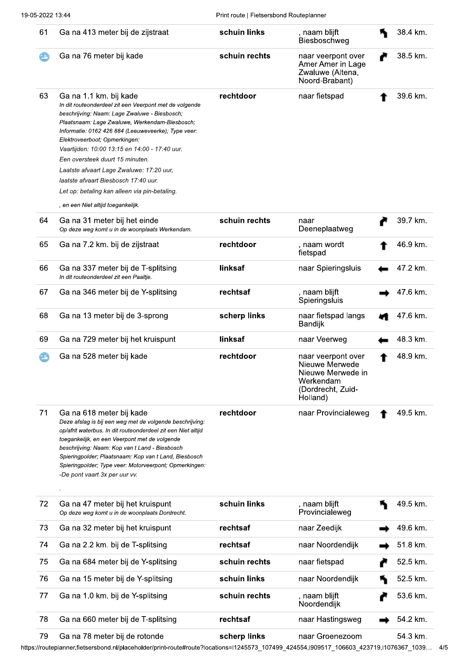| 61  | Ga na 413 meter bij de zijstraat                                                                                                                                                                                                                                                                                                                                                                                                                                                                                                           | schuin links  | , naam blijft<br>Biesboschweg                                                                           | 38.4 km. |
|-----|--------------------------------------------------------------------------------------------------------------------------------------------------------------------------------------------------------------------------------------------------------------------------------------------------------------------------------------------------------------------------------------------------------------------------------------------------------------------------------------------------------------------------------------------|---------------|---------------------------------------------------------------------------------------------------------|----------|
| τg, | Ga na 76 meter bij kade                                                                                                                                                                                                                                                                                                                                                                                                                                                                                                                    | schuin rechts | naar veerpont over<br>Amer Amer in Lage<br>Zwaluwe (Altena,<br>Noord-Brabant)                           | 38.5 km. |
| 63  | Ga na 1.1 km. bij kade<br>In dit routeonderdeel zit een Veerpont met de volgende<br>beschrijving: Naam: Lage Zwaluwe - Biesbosch;<br>Plaatsnaam: Lage Zwaluwe, Werkendam-Biesbosch;<br>Informatie: 0162 426 884 (Leeuweveerke); Type veer:<br>Elektroveerboot; Opmerkingen:<br>Vaartijden: 10:00 13:15 en 14:00 - 17:40 uur.<br>Een oversteek duurt 15 minuten.<br>Laatste afvaart Lage Zwaluwe: 17:20 uur,<br>laatste afvaart Biesbosch 17:40 uur.<br>Let op: betaling kan alleen via pin-betaling.<br>, en een Niet altijd toegankelijk. | rechtdoor     | naar fietspad                                                                                           | 39.6 km. |
| 64  | Ga na 31 meter bij het einde<br>Op deze weg komt u in de woonplaats Werkendam.                                                                                                                                                                                                                                                                                                                                                                                                                                                             | schuin rechts | naar<br>Deeneplaatweg                                                                                   | 39.7 km. |
| 65  | Ga na 7.2 km. bij de zijstraat                                                                                                                                                                                                                                                                                                                                                                                                                                                                                                             | rechtdoor     | , naam wordt<br>fietspad                                                                                | 46.9 km. |
| 66  | Ga na 337 meter bij de T-splitsing<br>In dit routeonderdeel zit een Paaltje.                                                                                                                                                                                                                                                                                                                                                                                                                                                               | linksaf       | naar Spieringsluis                                                                                      | 47.2 km. |
| 67  | Ga na 346 meter bij de Y-splitsing                                                                                                                                                                                                                                                                                                                                                                                                                                                                                                         | rechtsaf      | , naam blijft<br>Spieringsluis                                                                          | 47.6 km. |
| 68  | Ga na 13 meter bij de 3-sprong                                                                                                                                                                                                                                                                                                                                                                                                                                                                                                             | scherp links  | naar fietspad langs<br>Bandijk                                                                          | 47.6 km. |
| 69  | Ga na 729 meter bij het kruispunt                                                                                                                                                                                                                                                                                                                                                                                                                                                                                                          | linksaf       | naar Veerweg                                                                                            | 48.3 km. |
| 15. | Ga na 528 meter bij kade                                                                                                                                                                                                                                                                                                                                                                                                                                                                                                                   | rechtdoor     | naar veerpont over<br>Nieuwe Merwede<br>Nieuwe Merwede in<br>Werkendam<br>(Dordrecht, Zuid-<br>Holland) | 48.9 km. |
| 71  | Ga na 618 meter bij kade<br>Deze afslag is bij een weg met de volgende beschrijving:<br>op/afrit waterbus. In dit routeonderdeel zit een Niet altijd<br>toegankelijk, en een Veerpont met de volgende<br>beschrijving: Naam: Kop van t Land - Biesbosch<br>Spieringpolder; Plaatsnaam: Kop van t Land, Biesbosch<br>Spieringpolder; Type veer: Motorveerpont; Opmerkingen:<br>-De pont vaart 3x per uur vv.                                                                                                                                | rechtdoor     | naar Provincialeweg                                                                                     | 49.5 km. |
| 72  | Ga na 47 meter bij het kruispunt<br>Op deze weg komt u in de woonplaats Dordrecht.                                                                                                                                                                                                                                                                                                                                                                                                                                                         | schuin links  | , naam blijft<br>Provincialeweg                                                                         | 49.5 km. |
| 73  | Ga na 32 meter bij het kruispunt                                                                                                                                                                                                                                                                                                                                                                                                                                                                                                           | rechtsaf      | naar Zeedijk                                                                                            | 49.6 km. |
| 74  | Ga na 2.2 km. bij de T-splitsing                                                                                                                                                                                                                                                                                                                                                                                                                                                                                                           | rechtsaf      | naar Noordendijk                                                                                        | 51.8 km. |
| 75  | Ga na 684 meter bij de Y-splitsing                                                                                                                                                                                                                                                                                                                                                                                                                                                                                                         | schuin rechts | naar fietspad                                                                                           | 52.5 km. |
| 76  | Ga na 15 meter bij de Y-splitsing                                                                                                                                                                                                                                                                                                                                                                                                                                                                                                          | schuin links  | naar Noordendijk                                                                                        | 52.5 km. |
| 77  | Ga na 1.0 km. bij de Y-splitsing                                                                                                                                                                                                                                                                                                                                                                                                                                                                                                           | schuin rechts | , naam blijft<br>Noordendijk                                                                            | 53.6 km. |
| 78  | Ga na 660 meter bij de T-splitsing                                                                                                                                                                                                                                                                                                                                                                                                                                                                                                         | rechtsaf      | naar Hastingsweg                                                                                        | 54.2 km. |
| 79  | Ga na 78 meter bij de rotonde                                                                                                                                                                                                                                                                                                                                                                                                                                                                                                              | scherp links  | naar Groenezoom                                                                                         | 54.3 km. |

https://routeplanner.fietsersbond.nl/placeholder/print-route#route?locations=l1245573\_107499\_424554,l909517\_106603\_423719,l1076367\_1039... 4/5